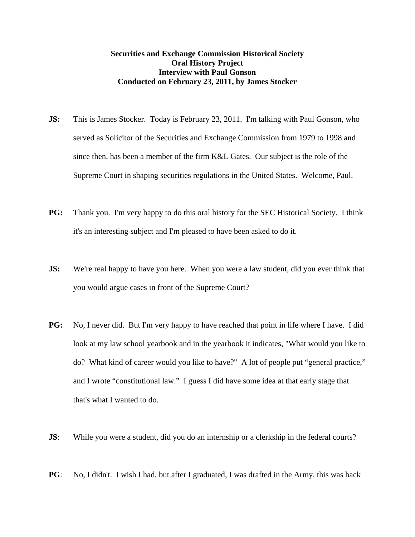## **Securities and Exchange Commission Historical Society Oral History Project Interview with Paul Gonson Conducted on February 23, 2011, by James Stocker**

- **JS:** This is James Stocker. Today is February 23, 2011. I'm talking with Paul Gonson, who served as Solicitor of the Securities and Exchange Commission from 1979 to 1998 and since then, has been a member of the firm K&L Gates. Our subject is the role of the Supreme Court in shaping securities regulations in the United States. Welcome, Paul.
- **PG:** Thank you. I'm very happy to do this oral history for the SEC Historical Society. I think it's an interesting subject and I'm pleased to have been asked to do it.
- **JS:** We're real happy to have you here. When you were a law student, did you ever think that you would argue cases in front of the Supreme Court?
- **PG:** No, I never did. But I'm very happy to have reached that point in life where I have. I did look at my law school yearbook and in the yearbook it indicates, "What would you like to do? What kind of career would you like to have?" A lot of people put "general practice," and I wrote "constitutional law." I guess I did have some idea at that early stage that that's what I wanted to do.
- **JS:** While you were a student, did you do an internship or a clerkship in the federal courts?
- **PG**: No, I didn't. I wish I had, but after I graduated, I was drafted in the Army, this was back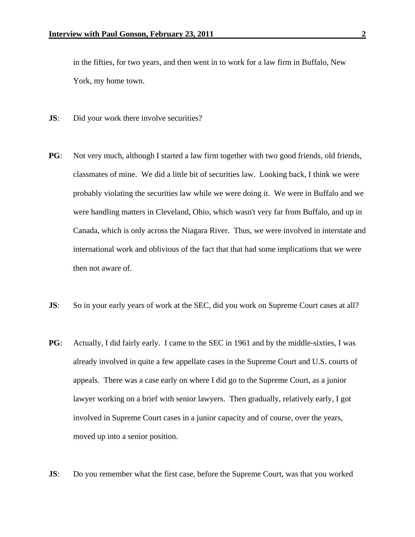in the fifties, for two years, and then went in to work for a law firm in Buffalo, New York, my home town.

- **JS:** Did your work there involve securities?
- **PG**: Not very much, although I started a law firm together with two good friends, old friends, classmates of mine. We did a little bit of securities law. Looking back, I think we were probably violating the securities law while we were doing it. We were in Buffalo and we were handling matters in Cleveland, Ohio, which wasn't very far from Buffalo, and up in Canada, which is only across the Niagara River. Thus, we were involved in interstate and international work and oblivious of the fact that that had some implications that we were then not aware of.
- **JS:** So in your early years of work at the SEC, did you work on Supreme Court cases at all?
- **PG**: Actually, I did fairly early. I came to the SEC in 1961 and by the middle-sixties, I was already involved in quite a few appellate cases in the Supreme Court and U.S. courts of appeals. There was a case early on where I did go to the Supreme Court, as a junior lawyer working on a brief with senior lawyers. Then gradually, relatively early, I got involved in Supreme Court cases in a junior capacity and of course, over the years, moved up into a senior position.
- **JS:** Do you remember what the first case, before the Supreme Court, was that you worked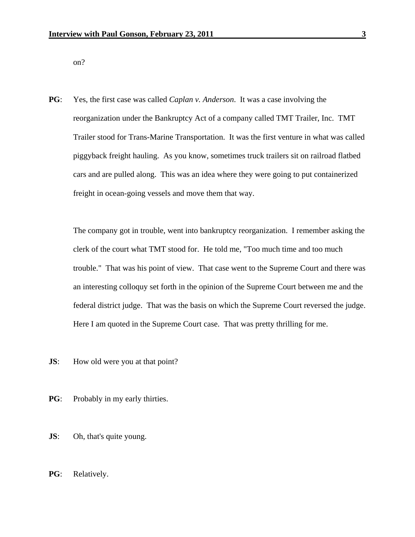on?

**PG**: Yes, the first case was called *Caplan v. Anderson*. It was a case involving the reorganization under the Bankruptcy Act of a company called TMT Trailer, Inc. TMT Trailer stood for Trans-Marine Transportation. It was the first venture in what was called piggyback freight hauling. As you know, sometimes truck trailers sit on railroad flatbed cars and are pulled along. This was an idea where they were going to put containerized freight in ocean-going vessels and move them that way.

 The company got in trouble, went into bankruptcy reorganization. I remember asking the clerk of the court what TMT stood for. He told me, "Too much time and too much trouble." That was his point of view. That case went to the Supreme Court and there was an interesting colloquy set forth in the opinion of the Supreme Court between me and the federal district judge. That was the basis on which the Supreme Court reversed the judge. Here I am quoted in the Supreme Court case. That was pretty thrilling for me.

**JS**: How old were you at that point?

- **PG**: Probably in my early thirties.
- **JS**: Oh, that's quite young.
- **PG**: Relatively.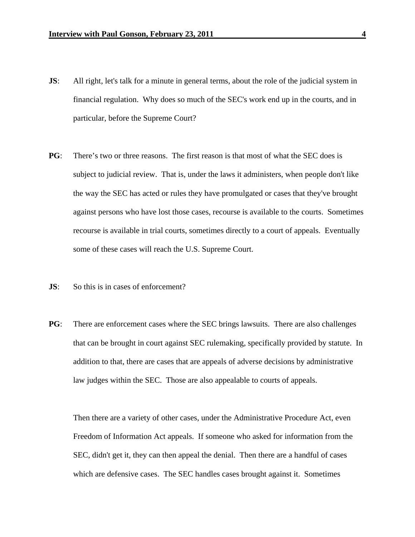- **JS:** All right, let's talk for a minute in general terms, about the role of the judicial system in financial regulation. Why does so much of the SEC's work end up in the courts, and in particular, before the Supreme Court?
- **PG**: There's two or three reasons. The first reason is that most of what the SEC does is subject to judicial review. That is, under the laws it administers, when people don't like the way the SEC has acted or rules they have promulgated or cases that they've brought against persons who have lost those cases, recourse is available to the courts. Sometimes recourse is available in trial courts, sometimes directly to a court of appeals. Eventually some of these cases will reach the U.S. Supreme Court.
- **JS**: So this is in cases of enforcement?
- **PG**: There are enforcement cases where the SEC brings lawsuits. There are also challenges that can be brought in court against SEC rulemaking, specifically provided by statute. In addition to that, there are cases that are appeals of adverse decisions by administrative law judges within the SEC. Those are also appealable to courts of appeals.

 Then there are a variety of other cases, under the Administrative Procedure Act, even Freedom of Information Act appeals. If someone who asked for information from the SEC, didn't get it, they can then appeal the denial. Then there are a handful of cases which are defensive cases. The SEC handles cases brought against it. Sometimes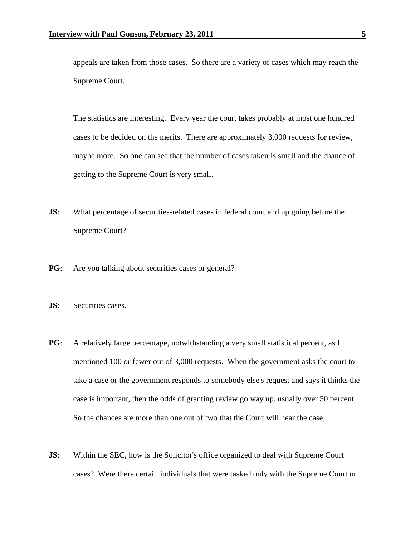appeals are taken from those cases. So there are a variety of cases which may reach the Supreme Court.

 The statistics are interesting. Every year the court takes probably at most one hundred cases to be decided on the merits. There are approximately 3,000 requests for review, maybe more. So one can see that the number of cases taken is small and the chance of getting to the Supreme Court is very small.

- **JS:** What percentage of securities-related cases in federal court end up going before the Supreme Court?
- **PG**: Are you talking about securities cases or general?
- **JS**: Securities cases.
- **PG**: A relatively large percentage, notwithstanding a very small statistical percent, as I mentioned 100 or fewer out of 3,000 requests. When the government asks the court to take a case or the government responds to somebody else's request and says it thinks the case is important, then the odds of granting review go way up, usually over 50 percent. So the chances are more than one out of two that the Court will hear the case.
- **JS:** Within the SEC, how is the Solicitor's office organized to deal with Supreme Court cases? Were there certain individuals that were tasked only with the Supreme Court or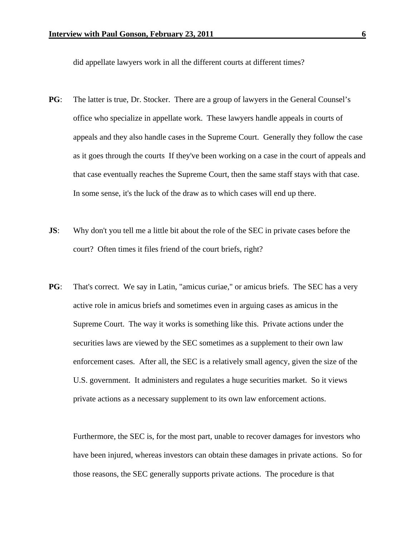did appellate lawyers work in all the different courts at different times?

- **PG**: The latter is true, Dr. Stocker. There are a group of lawyers in the General Counsel's office who specialize in appellate work. These lawyers handle appeals in courts of appeals and they also handle cases in the Supreme Court. Generally they follow the case as it goes through the courts If they've been working on a case in the court of appeals and that case eventually reaches the Supreme Court, then the same staff stays with that case. In some sense, it's the luck of the draw as to which cases will end up there.
- **JS:** Why don't you tell me a little bit about the role of the SEC in private cases before the court? Often times it files friend of the court briefs, right?
- **PG**: That's correct. We say in Latin, "amicus curiae," or amicus briefs. The SEC has a very active role in amicus briefs and sometimes even in arguing cases as amicus in the Supreme Court. The way it works is something like this. Private actions under the securities laws are viewed by the SEC sometimes as a supplement to their own law enforcement cases. After all, the SEC is a relatively small agency, given the size of the U.S. government. It administers and regulates a huge securities market. So it views private actions as a necessary supplement to its own law enforcement actions.

 Furthermore, the SEC is, for the most part, unable to recover damages for investors who have been injured, whereas investors can obtain these damages in private actions. So for those reasons, the SEC generally supports private actions. The procedure is that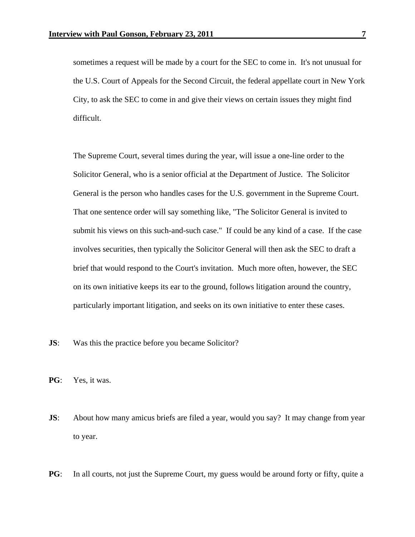sometimes a request will be made by a court for the SEC to come in. It's not unusual for the U.S. Court of Appeals for the Second Circuit, the federal appellate court in New York City, to ask the SEC to come in and give their views on certain issues they might find difficult.

 The Supreme Court, several times during the year, will issue a one-line order to the Solicitor General, who is a senior official at the Department of Justice. The Solicitor General is the person who handles cases for the U.S. government in the Supreme Court. That one sentence order will say something like, "The Solicitor General is invited to submit his views on this such-and-such case." If could be any kind of a case. If the case involves securities, then typically the Solicitor General will then ask the SEC to draft a brief that would respond to the Court's invitation. Much more often, however, the SEC on its own initiative keeps its ear to the ground, follows litigation around the country, particularly important litigation, and seeks on its own initiative to enter these cases.

- **JS:** Was this the practice before you became Solicitor?
- **PG**: Yes, it was.
- **JS**: About how many amicus briefs are filed a year, would you say? It may change from year to year.
- **PG**: In all courts, not just the Supreme Court, my guess would be around forty or fifty, quite a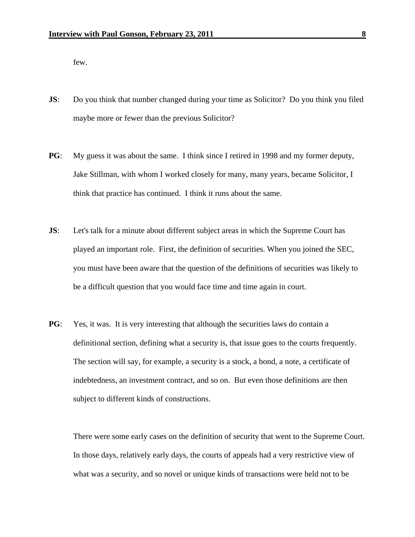few.

- **JS:** Do you think that number changed during your time as Solicitor? Do you think you filed maybe more or fewer than the previous Solicitor?
- **PG**: My guess it was about the same. I think since I retired in 1998 and my former deputy, Jake Stillman, with whom I worked closely for many, many years, became Solicitor, I think that practice has continued. I think it runs about the same.
- **JS:** Let's talk for a minute about different subject areas in which the Supreme Court has played an important role. First, the definition of securities. When you joined the SEC, you must have been aware that the question of the definitions of securities was likely to be a difficult question that you would face time and time again in court.
- **PG**: Yes, it was. It is very interesting that although the securities laws do contain a definitional section, defining what a security is, that issue goes to the courts frequently. The section will say, for example, a security is a stock, a bond, a note, a certificate of indebtedness, an investment contract, and so on. But even those definitions are then subject to different kinds of constructions.

 There were some early cases on the definition of security that went to the Supreme Court. In those days, relatively early days, the courts of appeals had a very restrictive view of what was a security, and so novel or unique kinds of transactions were held not to be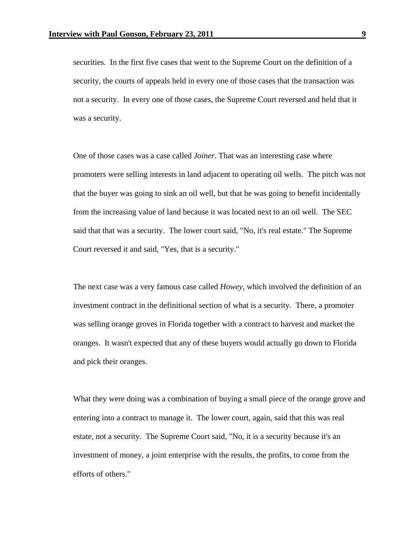securities. In the first five cases that went to the Supreme Court on the definition of a security, the courts of appeals held in every one of those cases that the transaction was not a security. In every one of those cases, the Supreme Court reversed and held that it was a security.

 One of those cases was a case called *Joiner*. That was an interesting case where promoters were selling interests in land adjacent to operating oil wells. The pitch was not that the buyer was going to sink an oil well, but that he was going to benefit incidentally from the increasing value of land because it was located next to an oil well. The SEC said that that was a security. The lower court said, "No, it's real estate." The Supreme Court reversed it and said, "Yes, that is a security."

 The next case was a very famous case called *Howey*, which involved the definition of an investment contract in the definitional section of what is a security. There, a promoter was selling orange groves in Florida together with a contract to harvest and market the oranges. It wasn't expected that any of these buyers would actually go down to Florida and pick their oranges.

What they were doing was a combination of buying a small piece of the orange grove and entering into a contract to manage it. The lower court, again, said that this was real estate, not a security. The Supreme Court said, "No, it is a security because it's an investment of money, a joint enterprise with the results, the profits, to come from the efforts of others."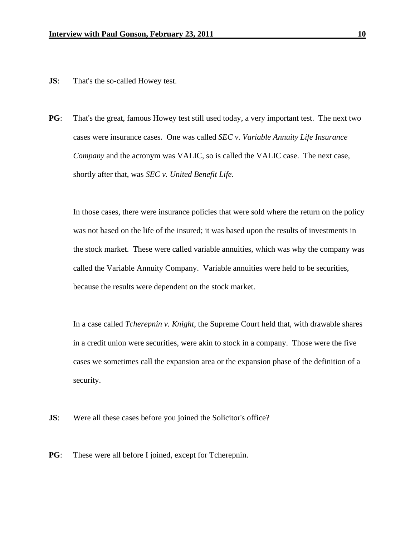- **JS:** That's the so-called Howey test.
- **PG**: That's the great, famous Howey test still used today, a very important test. The next two cases were insurance cases. One was called *SEC v. Variable Annuity Life Insurance Company* and the acronym was VALIC, so is called the VALIC case. The next case, shortly after that, was *SEC v. United Benefit Life*.

 In those cases, there were insurance policies that were sold where the return on the policy was not based on the life of the insured; it was based upon the results of investments in the stock market. These were called variable annuities, which was why the company was called the Variable Annuity Company. Variable annuities were held to be securities, because the results were dependent on the stock market.

In a case called *Tcherepnin v. Knight*, the Supreme Court held that, with drawable shares in a credit union were securities, were akin to stock in a company. Those were the five cases we sometimes call the expansion area or the expansion phase of the definition of a security.

**JS:** Were all these cases before you joined the Solicitor's office?

**PG**: These were all before I joined, except for Tcherepnin.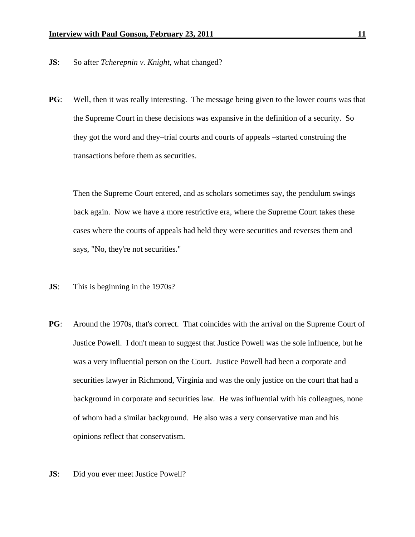- **JS**: So after *Tcherepnin v. Knight*, what changed?
- **PG**: Well, then it was really interesting. The message being given to the lower courts was that the Supreme Court in these decisions was expansive in the definition of a security. So they got the word and they–trial courts and courts of appeals –started construing the transactions before them as securities.

Then the Supreme Court entered, and as scholars sometimes say, the pendulum swings back again. Now we have a more restrictive era, where the Supreme Court takes these cases where the courts of appeals had held they were securities and reverses them and says, "No, they're not securities."

- **JS**: This is beginning in the 1970s?
- **PG**: Around the 1970s, that's correct. That coincides with the arrival on the Supreme Court of Justice Powell. I don't mean to suggest that Justice Powell was the sole influence, but he was a very influential person on the Court. Justice Powell had been a corporate and securities lawyer in Richmond, Virginia and was the only justice on the court that had a background in corporate and securities law. He was influential with his colleagues, none of whom had a similar background. He also was a very conservative man and his opinions reflect that conservatism.
- **JS**: Did you ever meet Justice Powell?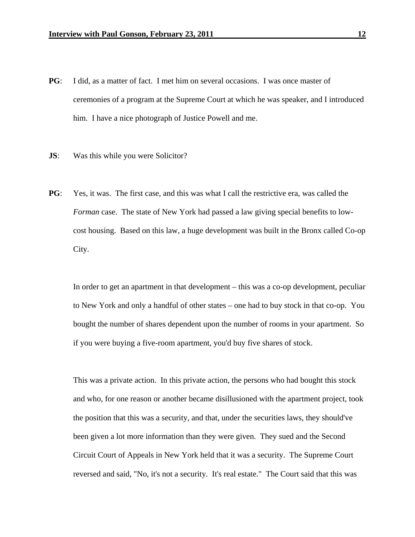- **PG**: I did, as a matter of fact. I met him on several occasions. I was once master of ceremonies of a program at the Supreme Court at which he was speaker, and I introduced him. I have a nice photograph of Justice Powell and me.
- **JS:** Was this while you were Solicitor?
- **PG**: Yes, it was. The first case, and this was what I call the restrictive era, was called the *Forman* case. The state of New York had passed a law giving special benefits to lowcost housing. Based on this law, a huge development was built in the Bronx called Co-op City.

In order to get an apartment in that development – this was a co-op development, peculiar to New York and only a handful of other states – one had to buy stock in that co-op. You bought the number of shares dependent upon the number of rooms in your apartment. So if you were buying a five-room apartment, you'd buy five shares of stock.

This was a private action. In this private action, the persons who had bought this stock and who, for one reason or another became disillusioned with the apartment project, took the position that this was a security, and that, under the securities laws, they should've been given a lot more information than they were given. They sued and the Second Circuit Court of Appeals in New York held that it was a security. The Supreme Court reversed and said, "No, it's not a security. It's real estate." The Court said that this was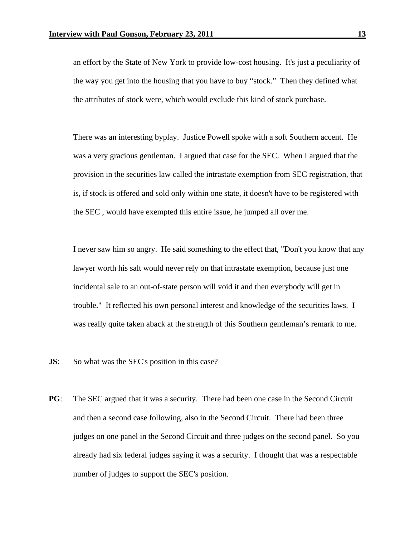an effort by the State of New York to provide low-cost housing. It's just a peculiarity of the way you get into the housing that you have to buy "stock." Then they defined what the attributes of stock were, which would exclude this kind of stock purchase.

There was an interesting byplay. Justice Powell spoke with a soft Southern accent. He was a very gracious gentleman. I argued that case for the SEC. When I argued that the provision in the securities law called the intrastate exemption from SEC registration, that is, if stock is offered and sold only within one state, it doesn't have to be registered with the SEC , would have exempted this entire issue, he jumped all over me.

I never saw him so angry. He said something to the effect that, "Don't you know that any lawyer worth his salt would never rely on that intrastate exemption, because just one incidental sale to an out-of-state person will void it and then everybody will get in trouble." It reflected his own personal interest and knowledge of the securities laws. I was really quite taken aback at the strength of this Southern gentleman's remark to me.

- **JS:** So what was the SEC's position in this case?
- **PG**: The SEC argued that it was a security. There had been one case in the Second Circuit and then a second case following, also in the Second Circuit. There had been three judges on one panel in the Second Circuit and three judges on the second panel. So you already had six federal judges saying it was a security. I thought that was a respectable number of judges to support the SEC's position.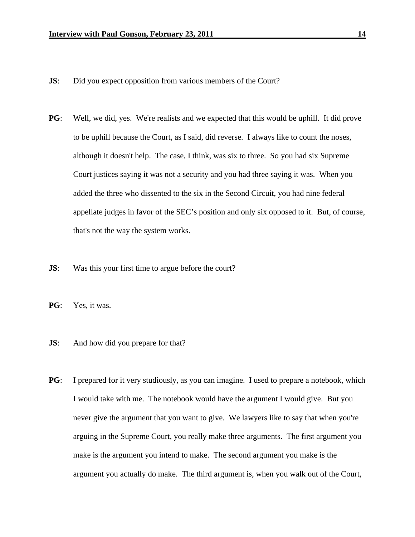- **JS:** Did you expect opposition from various members of the Court?
- **PG**: Well, we did, yes. We're realists and we expected that this would be uphill. It did prove to be uphill because the Court, as I said, did reverse. I always like to count the noses, although it doesn't help. The case, I think, was six to three. So you had six Supreme Court justices saying it was not a security and you had three saying it was. When you added the three who dissented to the six in the Second Circuit, you had nine federal appellate judges in favor of the SEC's position and only six opposed to it. But, of course, that's not the way the system works.
- **JS:** Was this your first time to argue before the court?
- **PG**: Yes, it was.
- **JS:** And how did you prepare for that?
- **PG**: I prepared for it very studiously, as you can imagine. I used to prepare a notebook, which I would take with me. The notebook would have the argument I would give. But you never give the argument that you want to give. We lawyers like to say that when you're arguing in the Supreme Court, you really make three arguments. The first argument you make is the argument you intend to make. The second argument you make is the argument you actually do make. The third argument is, when you walk out of the Court,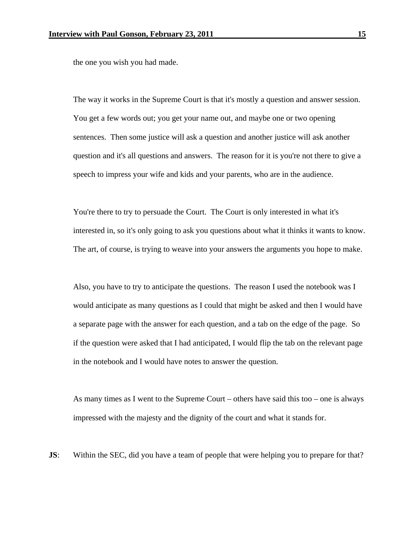the one you wish you had made.

The way it works in the Supreme Court is that it's mostly a question and answer session. You get a few words out; you get your name out, and maybe one or two opening sentences. Then some justice will ask a question and another justice will ask another question and it's all questions and answers. The reason for it is you're not there to give a speech to impress your wife and kids and your parents, who are in the audience.

You're there to try to persuade the Court. The Court is only interested in what it's interested in, so it's only going to ask you questions about what it thinks it wants to know. The art, of course, is trying to weave into your answers the arguments you hope to make.

Also, you have to try to anticipate the questions. The reason I used the notebook was I would anticipate as many questions as I could that might be asked and then I would have a separate page with the answer for each question, and a tab on the edge of the page. So if the question were asked that I had anticipated, I would flip the tab on the relevant page in the notebook and I would have notes to answer the question.

As many times as I went to the Supreme Court – others have said this too – one is always impressed with the majesty and the dignity of the court and what it stands for.

**JS:** Within the SEC, did you have a team of people that were helping you to prepare for that?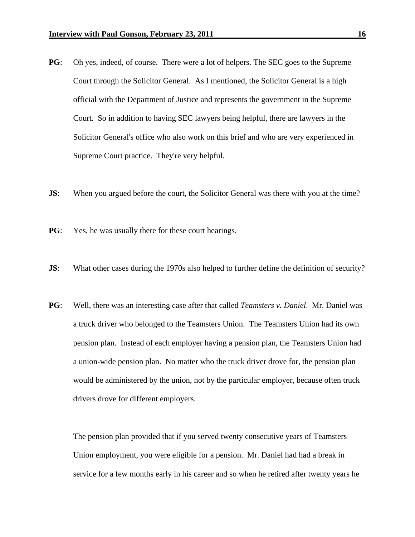- **PG**: Oh yes, indeed, of course. There were a lot of helpers. The SEC goes to the Supreme Court through the Solicitor General. As I mentioned, the Solicitor General is a high official with the Department of Justice and represents the government in the Supreme Court. So in addition to having SEC lawyers being helpful, there are lawyers in the Solicitor General's office who also work on this brief and who are very experienced in Supreme Court practice. They're very helpful.
- **JS:** When you argued before the court, the Solicitor General was there with you at the time?
- **PG**: Yes, he was usually there for these court hearings.
- **JS:** What other cases during the 1970s also helped to further define the definition of security?
- **PG**: Well, there was an interesting case after that called *Teamsters v. Daniel*. Mr. Daniel was a truck driver who belonged to the Teamsters Union. The Teamsters Union had its own pension plan. Instead of each employer having a pension plan, the Teamsters Union had a union-wide pension plan. No matter who the truck driver drove for, the pension plan would be administered by the union, not by the particular employer, because often truck drivers drove for different employers.

 The pension plan provided that if you served twenty consecutive years of Teamsters Union employment, you were eligible for a pension. Mr. Daniel had had a break in service for a few months early in his career and so when he retired after twenty years he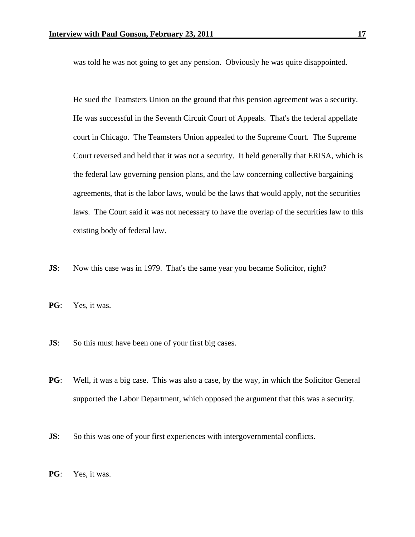was told he was not going to get any pension. Obviously he was quite disappointed.

He sued the Teamsters Union on the ground that this pension agreement was a security. He was successful in the Seventh Circuit Court of Appeals. That's the federal appellate court in Chicago. The Teamsters Union appealed to the Supreme Court. The Supreme Court reversed and held that it was not a security. It held generally that ERISA, which is the federal law governing pension plans, and the law concerning collective bargaining agreements, that is the labor laws, would be the laws that would apply, not the securities laws. The Court said it was not necessary to have the overlap of the securities law to this existing body of federal law.

- **JS:** Now this case was in 1979. That's the same year you became Solicitor, right?
- **PG**: Yes, it was.
- **JS**: So this must have been one of your first big cases.
- **PG**: Well, it was a big case. This was also a case, by the way, in which the Solicitor General supported the Labor Department, which opposed the argument that this was a security.
- **JS:** So this was one of your first experiences with intergovernmental conflicts.
- **PG**: Yes, it was.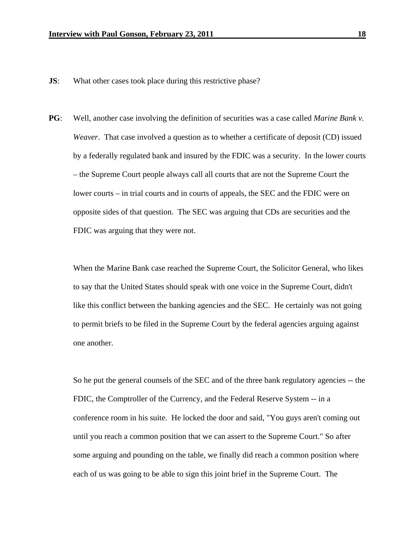- **JS:** What other cases took place during this restrictive phase?
- **PG**: Well, another case involving the definition of securities was a case called *Marine Bank v. Weaver*. That case involved a question as to whether a certificate of deposit (CD) issued by a federally regulated bank and insured by the FDIC was a security. In the lower courts – the Supreme Court people always call all courts that are not the Supreme Court the lower courts – in trial courts and in courts of appeals, the SEC and the FDIC were on opposite sides of that question. The SEC was arguing that CDs are securities and the FDIC was arguing that they were not.

 When the Marine Bank case reached the Supreme Court, the Solicitor General, who likes to say that the United States should speak with one voice in the Supreme Court, didn't like this conflict between the banking agencies and the SEC. He certainly was not going to permit briefs to be filed in the Supreme Court by the federal agencies arguing against one another.

 So he put the general counsels of the SEC and of the three bank regulatory agencies -- the FDIC, the Comptroller of the Currency, and the Federal Reserve System -- in a conference room in his suite. He locked the door and said, "You guys aren't coming out until you reach a common position that we can assert to the Supreme Court." So after some arguing and pounding on the table, we finally did reach a common position where each of us was going to be able to sign this joint brief in the Supreme Court. The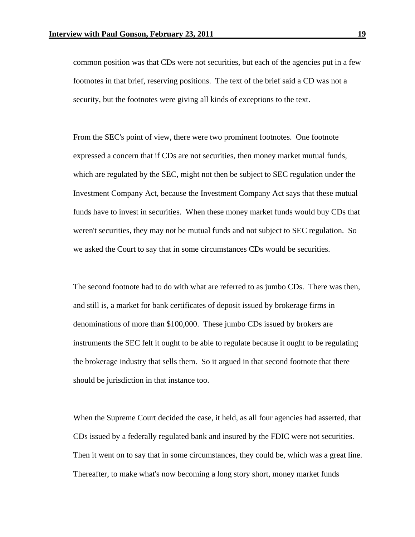common position was that CDs were not securities, but each of the agencies put in a few footnotes in that brief, reserving positions. The text of the brief said a CD was not a security, but the footnotes were giving all kinds of exceptions to the text.

 From the SEC's point of view, there were two prominent footnotes. One footnote expressed a concern that if CDs are not securities, then money market mutual funds, which are regulated by the SEC, might not then be subject to SEC regulation under the Investment Company Act, because the Investment Company Act says that these mutual funds have to invest in securities. When these money market funds would buy CDs that weren't securities, they may not be mutual funds and not subject to SEC regulation. So we asked the Court to say that in some circumstances CDs would be securities.

 The second footnote had to do with what are referred to as jumbo CDs. There was then, and still is, a market for bank certificates of deposit issued by brokerage firms in denominations of more than \$100,000. These jumbo CDs issued by brokers are instruments the SEC felt it ought to be able to regulate because it ought to be regulating the brokerage industry that sells them. So it argued in that second footnote that there should be jurisdiction in that instance too.

 When the Supreme Court decided the case, it held, as all four agencies had asserted, that CDs issued by a federally regulated bank and insured by the FDIC were not securities. Then it went on to say that in some circumstances, they could be, which was a great line. Thereafter, to make what's now becoming a long story short, money market funds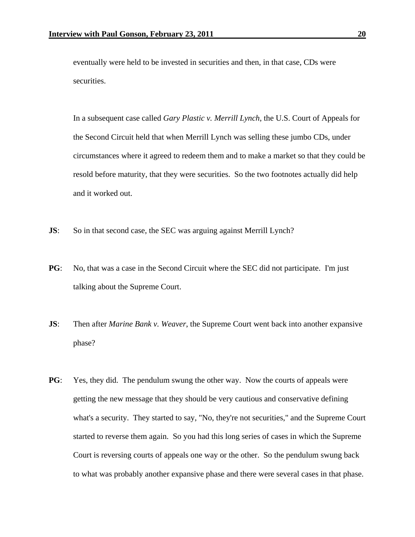eventually were held to be invested in securities and then, in that case, CDs were securities.

In a subsequent case called *Gary Plastic v. Merrill Lynch*, the U.S. Court of Appeals for the Second Circuit held that when Merrill Lynch was selling these jumbo CDs, under circumstances where it agreed to redeem them and to make a market so that they could be resold before maturity, that they were securities. So the two footnotes actually did help and it worked out.

- **JS:** So in that second case, the SEC was arguing against Merrill Lynch?
- **PG**: No, that was a case in the Second Circuit where the SEC did not participate. I'm just talking about the Supreme Court.
- **JS**: Then after *Marine Bank v. Weaver*, the Supreme Court went back into another expansive phase?
- **PG**: Yes, they did. The pendulum swung the other way. Now the courts of appeals were getting the new message that they should be very cautious and conservative defining what's a security. They started to say, "No, they're not securities," and the Supreme Court started to reverse them again. So you had this long series of cases in which the Supreme Court is reversing courts of appeals one way or the other. So the pendulum swung back to what was probably another expansive phase and there were several cases in that phase.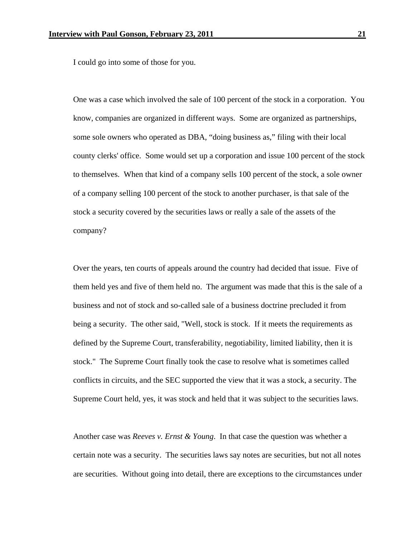I could go into some of those for you.

One was a case which involved the sale of 100 percent of the stock in a corporation. You know, companies are organized in different ways. Some are organized as partnerships, some sole owners who operated as DBA, "doing business as," filing with their local county clerks' office. Some would set up a corporation and issue 100 percent of the stock to themselves. When that kind of a company sells 100 percent of the stock, a sole owner of a company selling 100 percent of the stock to another purchaser, is that sale of the stock a security covered by the securities laws or really a sale of the assets of the company?

Over the years, ten courts of appeals around the country had decided that issue. Five of them held yes and five of them held no. The argument was made that this is the sale of a business and not of stock and so-called sale of a business doctrine precluded it from being a security. The other said, "Well, stock is stock. If it meets the requirements as defined by the Supreme Court, transferability, negotiability, limited liability, then it is stock." The Supreme Court finally took the case to resolve what is sometimes called conflicts in circuits, and the SEC supported the view that it was a stock, a security. The Supreme Court held, yes, it was stock and held that it was subject to the securities laws.

Another case was *Reeves v. Ernst & Young*. In that case the question was whether a certain note was a security. The securities laws say notes are securities, but not all notes are securities. Without going into detail, there are exceptions to the circumstances under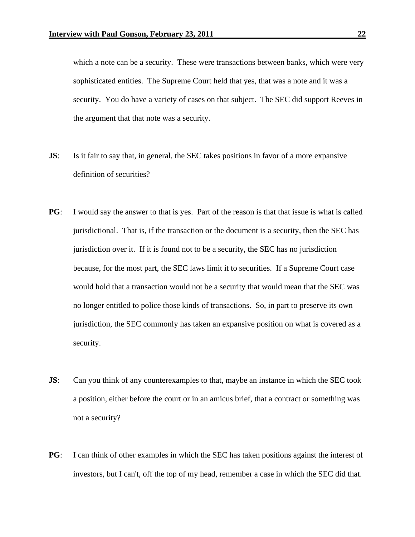which a note can be a security. These were transactions between banks, which were very sophisticated entities. The Supreme Court held that yes, that was a note and it was a security. You do have a variety of cases on that subject. The SEC did support Reeves in the argument that that note was a security.

- **JS:** Is it fair to say that, in general, the SEC takes positions in favor of a more expansive definition of securities?
- **PG**: I would say the answer to that is yes. Part of the reason is that that issue is what is called jurisdictional. That is, if the transaction or the document is a security, then the SEC has jurisdiction over it. If it is found not to be a security, the SEC has no jurisdiction because, for the most part, the SEC laws limit it to securities. If a Supreme Court case would hold that a transaction would not be a security that would mean that the SEC was no longer entitled to police those kinds of transactions. So, in part to preserve its own jurisdiction, the SEC commonly has taken an expansive position on what is covered as a security.
- **JS:** Can you think of any counterexamples to that, maybe an instance in which the SEC took a position, either before the court or in an amicus brief, that a contract or something was not a security?
- **PG**: I can think of other examples in which the SEC has taken positions against the interest of investors, but I can't, off the top of my head, remember a case in which the SEC did that.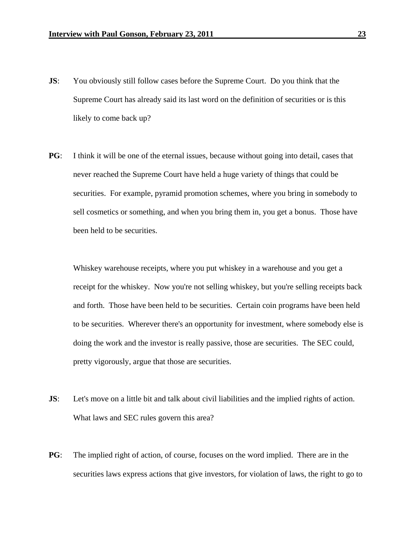- **JS:** You obviously still follow cases before the Supreme Court. Do you think that the Supreme Court has already said its last word on the definition of securities or is this likely to come back up?
- **PG**: I think it will be one of the eternal issues, because without going into detail, cases that never reached the Supreme Court have held a huge variety of things that could be securities. For example, pyramid promotion schemes, where you bring in somebody to sell cosmetics or something, and when you bring them in, you get a bonus. Those have been held to be securities.

Whiskey warehouse receipts, where you put whiskey in a warehouse and you get a receipt for the whiskey. Now you're not selling whiskey, but you're selling receipts back and forth. Those have been held to be securities. Certain coin programs have been held to be securities. Wherever there's an opportunity for investment, where somebody else is doing the work and the investor is really passive, those are securities. The SEC could, pretty vigorously, argue that those are securities.

- **JS:** Let's move on a little bit and talk about civil liabilities and the implied rights of action. What laws and SEC rules govern this area?
- **PG**: The implied right of action, of course, focuses on the word implied. There are in the securities laws express actions that give investors, for violation of laws, the right to go to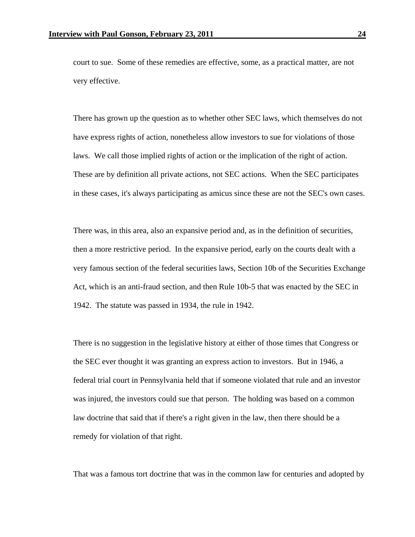court to sue. Some of these remedies are effective, some, as a practical matter, are not very effective.

There has grown up the question as to whether other SEC laws, which themselves do not have express rights of action, nonetheless allow investors to sue for violations of those laws. We call those implied rights of action or the implication of the right of action. These are by definition all private actions, not SEC actions. When the SEC participates in these cases, it's always participating as amicus since these are not the SEC's own cases.

There was, in this area, also an expansive period and, as in the definition of securities, then a more restrictive period. In the expansive period, early on the courts dealt with a very famous section of the federal securities laws, Section 10b of the Securities Exchange Act, which is an anti-fraud section, and then Rule 10b-5 that was enacted by the SEC in 1942. The statute was passed in 1934, the rule in 1942.

There is no suggestion in the legislative history at either of those times that Congress or the SEC ever thought it was granting an express action to investors. But in 1946, a federal trial court in Pennsylvania held that if someone violated that rule and an investor was injured, the investors could sue that person. The holding was based on a common law doctrine that said that if there's a right given in the law, then there should be a remedy for violation of that right.

That was a famous tort doctrine that was in the common law for centuries and adopted by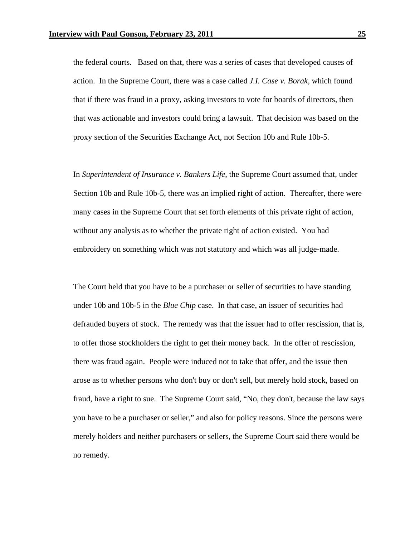the federal courts. Based on that, there was a series of cases that developed causes of action. In the Supreme Court, there was a case called *J.I. Case v. Borak,* which found that if there was fraud in a proxy, asking investors to vote for boards of directors, then that was actionable and investors could bring a lawsuit. That decision was based on the proxy section of the Securities Exchange Act, not Section 10b and Rule 10b-5.

In *Superintendent of Insurance v. Bankers Life*, the Supreme Court assumed that, under Section 10b and Rule 10b-5, there was an implied right of action. Thereafter, there were many cases in the Supreme Court that set forth elements of this private right of action, without any analysis as to whether the private right of action existed. You had embroidery on something which was not statutory and which was all judge-made.

The Court held that you have to be a purchaser or seller of securities to have standing under 10b and 10b-5 in the *Blue Chip* case. In that case, an issuer of securities had defrauded buyers of stock. The remedy was that the issuer had to offer rescission, that is, to offer those stockholders the right to get their money back. In the offer of rescission, there was fraud again. People were induced not to take that offer, and the issue then arose as to whether persons who don't buy or don't sell, but merely hold stock, based on fraud, have a right to sue. The Supreme Court said, "No, they don't, because the law says you have to be a purchaser or seller," and also for policy reasons. Since the persons were merely holders and neither purchasers or sellers, the Supreme Court said there would be no remedy.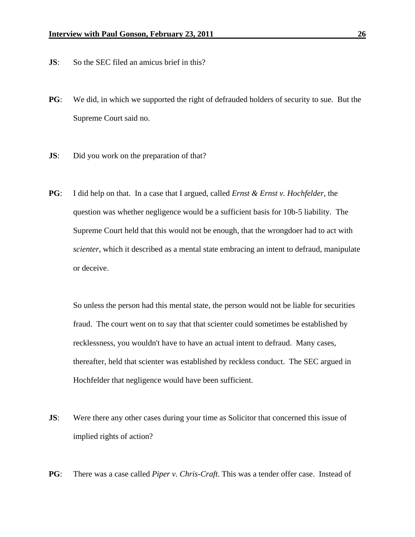- **JS:** So the SEC filed an amicus brief in this?
- **PG**: We did, in which we supported the right of defrauded holders of security to sue. But the Supreme Court said no.
- **JS**: Did you work on the preparation of that?
- **PG**: I did help on that. In a case that I argued, called *Ernst & Ernst v. Hochfelder,* the question was whether negligence would be a sufficient basis for 10b-5 liability. The Supreme Court held that this would not be enough, that the wrongdoer had to act with *scienter*, which it described as a mental state embracing an intent to defraud, manipulate or deceive.

 So unless the person had this mental state, the person would not be liable for securities fraud. The court went on to say that that scienter could sometimes be established by recklessness, you wouldn't have to have an actual intent to defraud. Many cases, thereafter, held that scienter was established by reckless conduct. The SEC argued in Hochfelder that negligence would have been sufficient.

- **JS:** Were there any other cases during your time as Solicitor that concerned this issue of implied rights of action?
- **PG**: There was a case called *Piper v. Chris-Craft.* This was a tender offer case. Instead of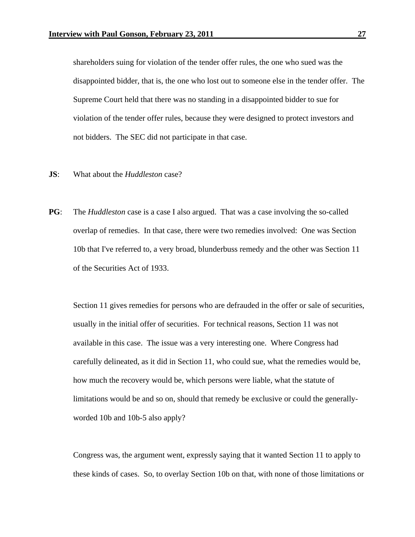shareholders suing for violation of the tender offer rules, the one who sued was the disappointed bidder, that is, the one who lost out to someone else in the tender offer. The Supreme Court held that there was no standing in a disappointed bidder to sue for violation of the tender offer rules, because they were designed to protect investors and not bidders. The SEC did not participate in that case.

- **JS**: What about the *Huddleston* case?
- **PG**: The *Huddleston* case is a case I also argued. That was a case involving the so-called overlap of remedies. In that case, there were two remedies involved: One was Section 10b that I've referred to, a very broad, blunderbuss remedy and the other was Section 11 of the Securities Act of 1933.

 Section 11 gives remedies for persons who are defrauded in the offer or sale of securities, usually in the initial offer of securities. For technical reasons, Section 11 was not available in this case. The issue was a very interesting one. Where Congress had carefully delineated, as it did in Section 11, who could sue, what the remedies would be, how much the recovery would be, which persons were liable, what the statute of limitations would be and so on, should that remedy be exclusive or could the generallyworded 10b and 10b-5 also apply?

Congress was, the argument went, expressly saying that it wanted Section 11 to apply to these kinds of cases. So, to overlay Section 10b on that, with none of those limitations or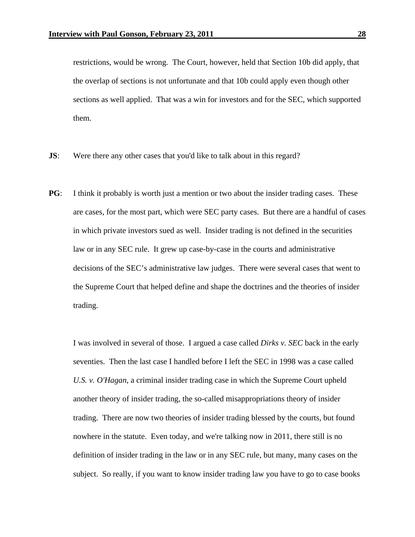restrictions, would be wrong. The Court, however, held that Section 10b did apply, that the overlap of sections is not unfortunate and that 10b could apply even though other sections as well applied. That was a win for investors and for the SEC, which supported them.

- **JS:** Were there any other cases that you'd like to talk about in this regard?
- **PG**: I think it probably is worth just a mention or two about the insider trading cases. These are cases, for the most part, which were SEC party cases. But there are a handful of cases in which private investors sued as well. Insider trading is not defined in the securities law or in any SEC rule. It grew up case-by-case in the courts and administrative decisions of the SEC's administrative law judges. There were several cases that went to the Supreme Court that helped define and shape the doctrines and the theories of insider trading.

 I was involved in several of those. I argued a case called *Dirks v. SEC* back in the early seventies. Then the last case I handled before I left the SEC in 1998 was a case called *U.S. v. O'Hagan*, a criminal insider trading case in which the Supreme Court upheld another theory of insider trading, the so-called misappropriations theory of insider trading. There are now two theories of insider trading blessed by the courts, but found nowhere in the statute. Even today, and we're talking now in 2011, there still is no definition of insider trading in the law or in any SEC rule, but many, many cases on the subject. So really, if you want to know insider trading law you have to go to case books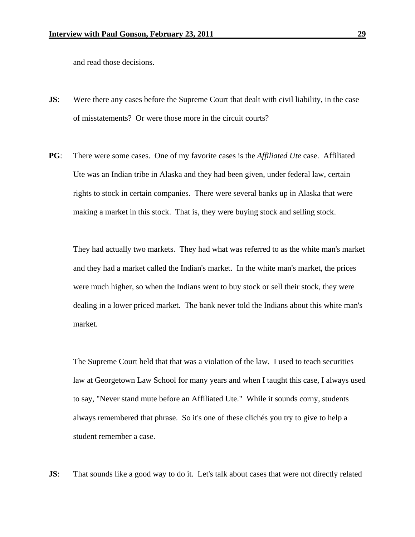and read those decisions.

- **JS:** Were there any cases before the Supreme Court that dealt with civil liability, in the case of misstatements? Or were those more in the circuit courts?
- **PG**: There were some cases. One of my favorite cases is the *Affiliated Ute* case. Affiliated Ute was an Indian tribe in Alaska and they had been given, under federal law, certain rights to stock in certain companies. There were several banks up in Alaska that were making a market in this stock. That is, they were buying stock and selling stock.

They had actually two markets. They had what was referred to as the white man's market and they had a market called the Indian's market. In the white man's market, the prices were much higher, so when the Indians went to buy stock or sell their stock, they were dealing in a lower priced market. The bank never told the Indians about this white man's market.

The Supreme Court held that that was a violation of the law. I used to teach securities law at Georgetown Law School for many years and when I taught this case, I always used to say, "Never stand mute before an Affiliated Ute." While it sounds corny, students always remembered that phrase. So it's one of these clichés you try to give to help a student remember a case.

**JS:** That sounds like a good way to do it. Let's talk about cases that were not directly related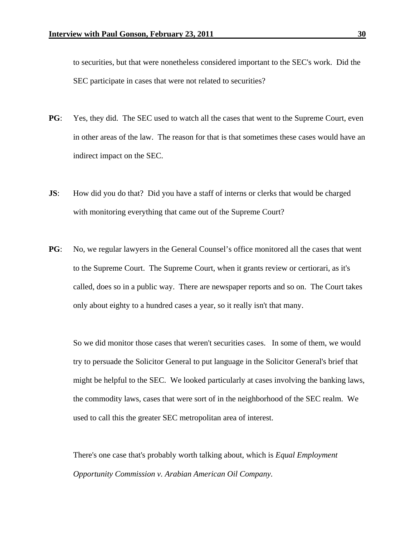to securities, but that were nonetheless considered important to the SEC's work. Did the SEC participate in cases that were not related to securities?

- **PG**: Yes, they did. The SEC used to watch all the cases that went to the Supreme Court, even in other areas of the law. The reason for that is that sometimes these cases would have an indirect impact on the SEC.
- **JS:** How did you do that? Did you have a staff of interns or clerks that would be charged with monitoring everything that came out of the Supreme Court?
- **PG**: No, we regular lawyers in the General Counsel's office monitored all the cases that went to the Supreme Court. The Supreme Court, when it grants review or certiorari, as it's called, does so in a public way. There are newspaper reports and so on. The Court takes only about eighty to a hundred cases a year, so it really isn't that many.

 So we did monitor those cases that weren't securities cases. In some of them, we would try to persuade the Solicitor General to put language in the Solicitor General's brief that might be helpful to the SEC. We looked particularly at cases involving the banking laws, the commodity laws, cases that were sort of in the neighborhood of the SEC realm. We used to call this the greater SEC metropolitan area of interest.

There's one case that's probably worth talking about, which is *Equal Employment Opportunity Commission v. Arabian American Oil Company.*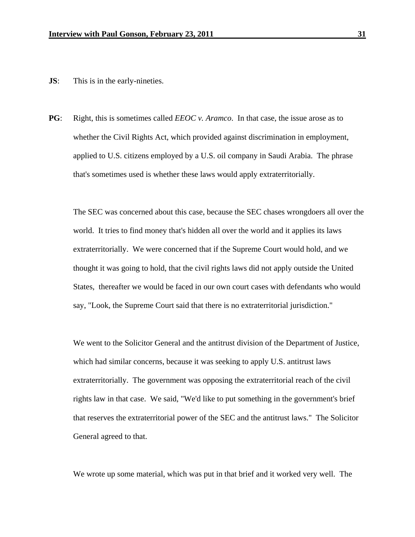- **JS**: This is in the early-nineties.
- **PG**: Right, this is sometimes called *EEOC v. Aramco*. In that case, the issue arose as to whether the Civil Rights Act, which provided against discrimination in employment, applied to U.S. citizens employed by a U.S. oil company in Saudi Arabia. The phrase that's sometimes used is whether these laws would apply extraterritorially.

 The SEC was concerned about this case, because the SEC chases wrongdoers all over the world. It tries to find money that's hidden all over the world and it applies its laws extraterritorially. We were concerned that if the Supreme Court would hold, and we thought it was going to hold, that the civil rights laws did not apply outside the United States, thereafter we would be faced in our own court cases with defendants who would say, "Look, the Supreme Court said that there is no extraterritorial jurisdiction."

 We went to the Solicitor General and the antitrust division of the Department of Justice, which had similar concerns, because it was seeking to apply U.S. antitrust laws extraterritorially. The government was opposing the extraterritorial reach of the civil rights law in that case. We said, "We'd like to put something in the government's brief that reserves the extraterritorial power of the SEC and the antitrust laws." The Solicitor General agreed to that.

We wrote up some material, which was put in that brief and it worked very well. The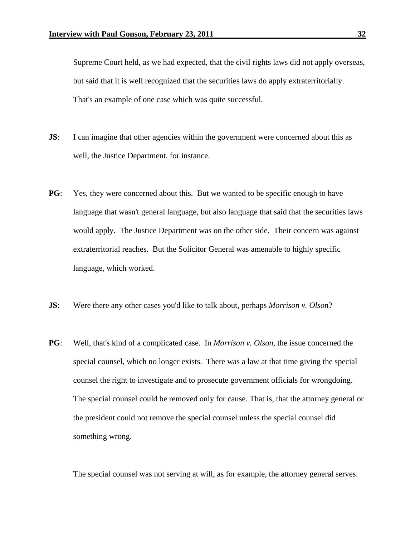Supreme Court held, as we had expected, that the civil rights laws did not apply overseas, but said that it is well recognized that the securities laws do apply extraterritorially. That's an example of one case which was quite successful.

- **JS:** I can imagine that other agencies within the government were concerned about this as well, the Justice Department, for instance.
- **PG**: Yes, they were concerned about this. But we wanted to be specific enough to have language that wasn't general language, but also language that said that the securities laws would apply. The Justice Department was on the other side. Their concern was against extraterritorial reaches. But the Solicitor General was amenable to highly specific language, which worked.
- **JS**: Were there any other cases you'd like to talk about, perhaps *Morrison v. Olson*?
- **PG**: Well, that's kind of a complicated case. In *Morrison v. Olson*, the issue concerned the special counsel, which no longer exists. There was a law at that time giving the special counsel the right to investigate and to prosecute government officials for wrongdoing. The special counsel could be removed only for cause. That is, that the attorney general or the president could not remove the special counsel unless the special counsel did something wrong.

The special counsel was not serving at will, as for example, the attorney general serves.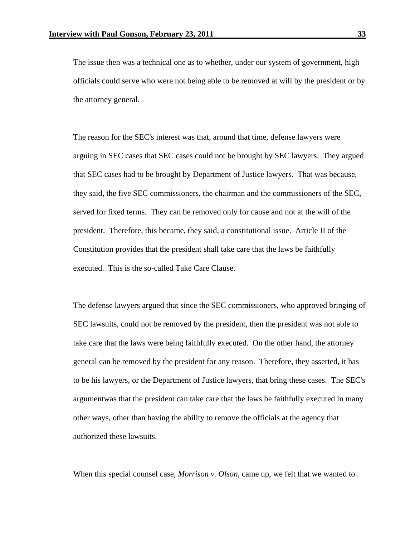The issue then was a technical one as to whether, under our system of government, high officials could serve who were not being able to be removed at will by the president or by the attorney general.

The reason for the SEC's interest was that, around that time, defense lawyers were arguing in SEC cases that SEC cases could not be brought by SEC lawyers. They argued that SEC cases had to be brought by Department of Justice lawyers. That was because, they said, the five SEC commissioners, the chairman and the commissioners of the SEC, served for fixed terms. They can be removed only for cause and not at the will of the president. Therefore, this became, they said, a constitutional issue. Article II of the Constitution provides that the president shall take care that the laws be faithfully executed. This is the so-called Take Care Clause.

The defense lawyers argued that since the SEC commissioners, who approved bringing of SEC lawsuits, could not be removed by the president, then the president was not able to take care that the laws were being faithfully executed. On the other hand, the attorney general can be removed by the president for any reason. Therefore, they asserted, it has to be his lawyers, or the Department of Justice lawyers, that bring these cases. The SEC's argumentwas that the president can take care that the laws be faithfully executed in many other ways, other than having the ability to remove the officials at the agency that authorized these lawsuits.

When this special counsel case, *Morrison v. Olson*, came up, we felt that we wanted to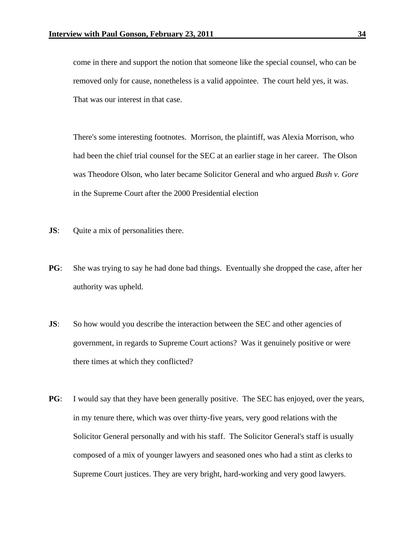come in there and support the notion that someone like the special counsel, who can be removed only for cause, nonetheless is a valid appointee. The court held yes, it was. That was our interest in that case.

There's some interesting footnotes. Morrison, the plaintiff, was Alexia Morrison, who had been the chief trial counsel for the SEC at an earlier stage in her career. The Olson was Theodore Olson, who later became Solicitor General and who argued *Bush v. Gore* in the Supreme Court after the 2000 Presidential election

- **JS**: Quite a mix of personalities there.
- **PG**: She was trying to say he had done bad things. Eventually she dropped the case, after her authority was upheld.
- **JS:** So how would you describe the interaction between the SEC and other agencies of government, in regards to Supreme Court actions? Was it genuinely positive or were there times at which they conflicted?
- **PG**: I would say that they have been generally positive. The SEC has enjoyed, over the years, in my tenure there, which was over thirty-five years, very good relations with the Solicitor General personally and with his staff. The Solicitor General's staff is usually composed of a mix of younger lawyers and seasoned ones who had a stint as clerks to Supreme Court justices. They are very bright, hard-working and very good lawyers.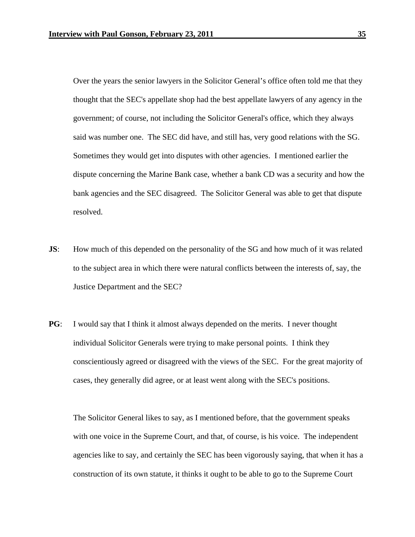Over the years the senior lawyers in the Solicitor General's office often told me that they thought that the SEC's appellate shop had the best appellate lawyers of any agency in the government; of course, not including the Solicitor General's office, which they always said was number one. The SEC did have, and still has, very good relations with the SG. Sometimes they would get into disputes with other agencies. I mentioned earlier the dispute concerning the Marine Bank case, whether a bank CD was a security and how the bank agencies and the SEC disagreed. The Solicitor General was able to get that dispute resolved.

- **JS:** How much of this depended on the personality of the SG and how much of it was related to the subject area in which there were natural conflicts between the interests of, say, the Justice Department and the SEC?
- **PG**: I would say that I think it almost always depended on the merits. I never thought individual Solicitor Generals were trying to make personal points. I think they conscientiously agreed or disagreed with the views of the SEC. For the great majority of cases, they generally did agree, or at least went along with the SEC's positions.

 The Solicitor General likes to say, as I mentioned before, that the government speaks with one voice in the Supreme Court, and that, of course, is his voice. The independent agencies like to say, and certainly the SEC has been vigorously saying, that when it has a construction of its own statute, it thinks it ought to be able to go to the Supreme Court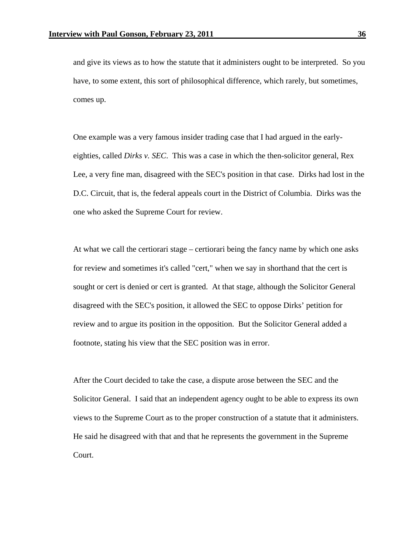and give its views as to how the statute that it administers ought to be interpreted. So you have, to some extent, this sort of philosophical difference, which rarely, but sometimes, comes up.

 One example was a very famous insider trading case that I had argued in the earlyeighties, called *Dirks v. SEC*. This was a case in which the then-solicitor general, Rex Lee, a very fine man, disagreed with the SEC's position in that case. Dirks had lost in the D.C. Circuit, that is, the federal appeals court in the District of Columbia. Dirks was the one who asked the Supreme Court for review.

 At what we call the certiorari stage – certiorari being the fancy name by which one asks for review and sometimes it's called "cert," when we say in shorthand that the cert is sought or cert is denied or cert is granted. At that stage, although the Solicitor General disagreed with the SEC's position, it allowed the SEC to oppose Dirks' petition for review and to argue its position in the opposition. But the Solicitor General added a footnote, stating his view that the SEC position was in error.

 After the Court decided to take the case, a dispute arose between the SEC and the Solicitor General. I said that an independent agency ought to be able to express its own views to the Supreme Court as to the proper construction of a statute that it administers. He said he disagreed with that and that he represents the government in the Supreme Court.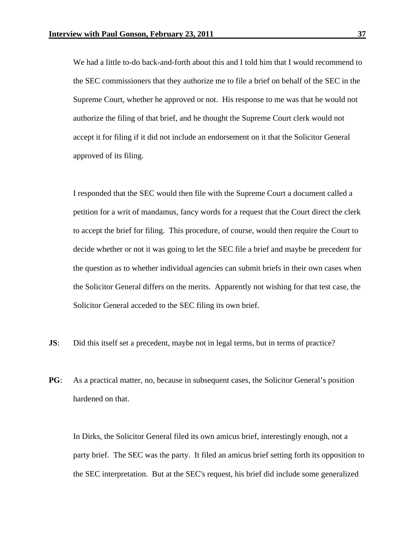We had a little to-do back-and-forth about this and I told him that I would recommend to the SEC commissioners that they authorize me to file a brief on behalf of the SEC in the Supreme Court, whether he approved or not. His response to me was that he would not authorize the filing of that brief, and he thought the Supreme Court clerk would not accept it for filing if it did not include an endorsement on it that the Solicitor General approved of its filing.

 I responded that the SEC would then file with the Supreme Court a document called a petition for a writ of mandamus, fancy words for a request that the Court direct the clerk to accept the brief for filing. This procedure, of course, would then require the Court to decide whether or not it was going to let the SEC file a brief and maybe be precedent for the question as to whether individual agencies can submit briefs in their own cases when the Solicitor General differs on the merits. Apparently not wishing for that test case, the Solicitor General acceded to the SEC filing its own brief.

- **JS:** Did this itself set a precedent, maybe not in legal terms, but in terms of practice?
- **PG**: As a practical matter, no, because in subsequent cases, the Solicitor General's position hardened on that.

In Dirks, the Solicitor General filed its own amicus brief, interestingly enough, not a party brief. The SEC was the party. It filed an amicus brief setting forth its opposition to the SEC interpretation. But at the SEC's request, his brief did include some generalized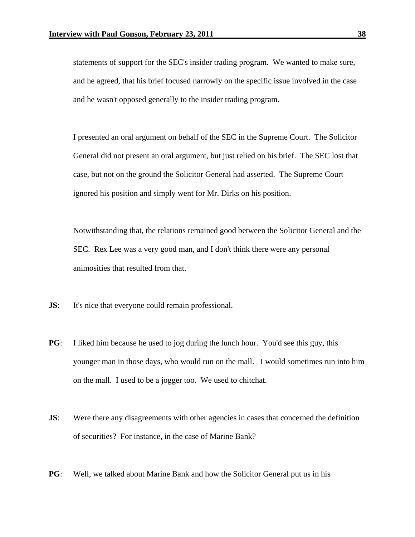statements of support for the SEC's insider trading program. We wanted to make sure, and he agreed, that his brief focused narrowly on the specific issue involved in the case and he wasn't opposed generally to the insider trading program.

 I presented an oral argument on behalf of the SEC in the Supreme Court. The Solicitor General did not present an oral argument, but just relied on his brief. The SEC lost that case, but not on the ground the Solicitor General had asserted. The Supreme Court ignored his position and simply went for Mr. Dirks on his position.

 Notwithstanding that, the relations remained good between the Solicitor General and the SEC. Rex Lee was a very good man, and I don't think there were any personal animosities that resulted from that.

- **JS**: It's nice that everyone could remain professional.
- **PG**: I liked him because he used to jog during the lunch hour. You'd see this guy, this younger man in those days, who would run on the mall. I would sometimes run into him on the mall. I used to be a jogger too. We used to chitchat.
- **JS:** Were there any disagreements with other agencies in cases that concerned the definition of securities? For instance, in the case of Marine Bank?
- **PG**: Well, we talked about Marine Bank and how the Solicitor General put us in his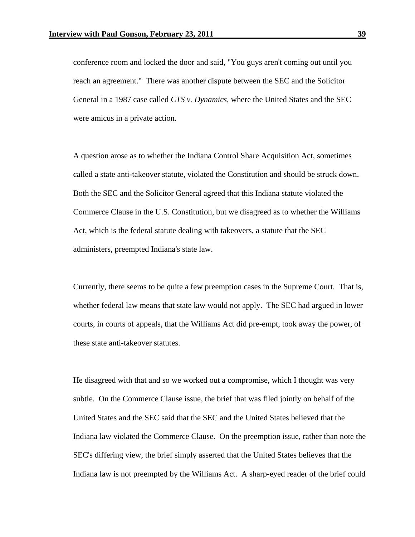conference room and locked the door and said, "You guys aren't coming out until you reach an agreement." There was another dispute between the SEC and the Solicitor General in a 1987 case called *CTS v. Dynamics,* where the United States and the SEC were amicus in a private action.

 A question arose as to whether the Indiana Control Share Acquisition Act, sometimes called a state anti-takeover statute, violated the Constitution and should be struck down. Both the SEC and the Solicitor General agreed that this Indiana statute violated the Commerce Clause in the U.S. Constitution, but we disagreed as to whether the Williams Act, which is the federal statute dealing with takeovers, a statute that the SEC administers, preempted Indiana's state law.

 Currently, there seems to be quite a few preemption cases in the Supreme Court. That is, whether federal law means that state law would not apply. The SEC had argued in lower courts, in courts of appeals, that the Williams Act did pre-empt, took away the power, of these state anti-takeover statutes.

He disagreed with that and so we worked out a compromise, which I thought was very subtle. On the Commerce Clause issue, the brief that was filed jointly on behalf of the United States and the SEC said that the SEC and the United States believed that the Indiana law violated the Commerce Clause. On the preemption issue, rather than note the SEC's differing view, the brief simply asserted that the United States believes that the Indiana law is not preempted by the Williams Act. A sharp-eyed reader of the brief could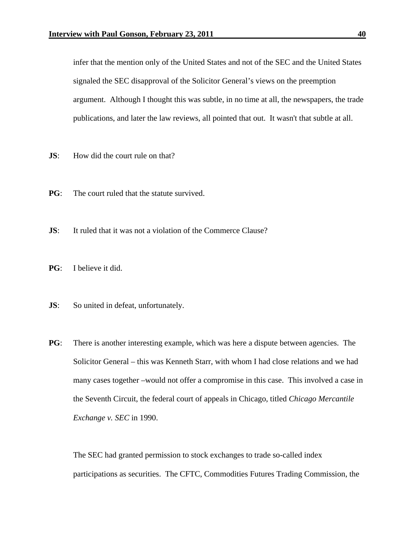infer that the mention only of the United States and not of the SEC and the United States signaled the SEC disapproval of the Solicitor General's views on the preemption argument. Although I thought this was subtle, in no time at all, the newspapers, the trade publications, and later the law reviews, all pointed that out. It wasn't that subtle at all.

- **JS**: How did the court rule on that?
- **PG**: The court ruled that the statute survived.
- **JS**: It ruled that it was not a violation of the Commerce Clause?
- **PG**: I believe it did.
- **JS**: So united in defeat, unfortunately.
- **PG**: There is another interesting example, which was here a dispute between agencies. The Solicitor General – this was Kenneth Starr, with whom I had close relations and we had many cases together –would not offer a compromise in this case. This involved a case in the Seventh Circuit, the federal court of appeals in Chicago, titled *Chicago Mercantile Exchange v. SEC* in 1990.

 The SEC had granted permission to stock exchanges to trade so-called index participations as securities. The CFTC, Commodities Futures Trading Commission, the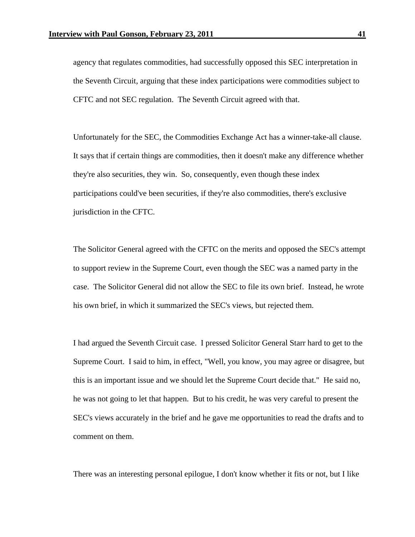agency that regulates commodities, had successfully opposed this SEC interpretation in the Seventh Circuit, arguing that these index participations were commodities subject to CFTC and not SEC regulation. The Seventh Circuit agreed with that.

 Unfortunately for the SEC, the Commodities Exchange Act has a winner-take-all clause. It says that if certain things are commodities, then it doesn't make any difference whether they're also securities, they win. So, consequently, even though these index participations could've been securities, if they're also commodities, there's exclusive jurisdiction in the CFTC.

 The Solicitor General agreed with the CFTC on the merits and opposed the SEC's attempt to support review in the Supreme Court, even though the SEC was a named party in the case. The Solicitor General did not allow the SEC to file its own brief. Instead, he wrote his own brief, in which it summarized the SEC's views, but rejected them.

 I had argued the Seventh Circuit case. I pressed Solicitor General Starr hard to get to the Supreme Court. I said to him, in effect, "Well, you know, you may agree or disagree, but this is an important issue and we should let the Supreme Court decide that." He said no, he was not going to let that happen. But to his credit, he was very careful to present the SEC's views accurately in the brief and he gave me opportunities to read the drafts and to comment on them.

There was an interesting personal epilogue, I don't know whether it fits or not, but I like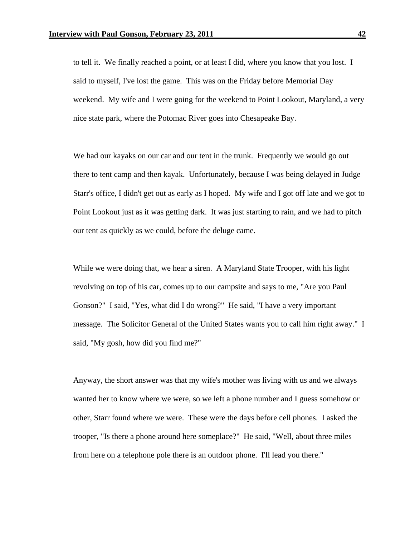to tell it. We finally reached a point, or at least I did, where you know that you lost. I said to myself, I've lost the game. This was on the Friday before Memorial Day weekend. My wife and I were going for the weekend to Point Lookout, Maryland, a very nice state park, where the Potomac River goes into Chesapeake Bay.

We had our kayaks on our car and our tent in the trunk. Frequently we would go out there to tent camp and then kayak. Unfortunately, because I was being delayed in Judge Starr's office, I didn't get out as early as I hoped. My wife and I got off late and we got to Point Lookout just as it was getting dark. It was just starting to rain, and we had to pitch our tent as quickly as we could, before the deluge came.

While we were doing that, we hear a siren. A Maryland State Trooper, with his light revolving on top of his car, comes up to our campsite and says to me, "Are you Paul Gonson?" I said, "Yes, what did I do wrong?" He said, "I have a very important message. The Solicitor General of the United States wants you to call him right away." I said, "My gosh, how did you find me?"

Anyway, the short answer was that my wife's mother was living with us and we always wanted her to know where we were, so we left a phone number and I guess somehow or other, Starr found where we were. These were the days before cell phones. I asked the trooper, "Is there a phone around here someplace?" He said, "Well, about three miles from here on a telephone pole there is an outdoor phone. I'll lead you there."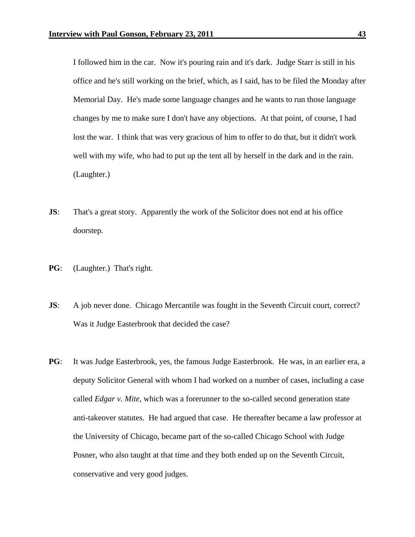I followed him in the car. Now it's pouring rain and it's dark. Judge Starr is still in his office and he's still working on the brief, which, as I said, has to be filed the Monday after Memorial Day. He's made some language changes and he wants to run those language changes by me to make sure I don't have any objections. At that point, of course, I had lost the war. I think that was very gracious of him to offer to do that, but it didn't work well with my wife, who had to put up the tent all by herself in the dark and in the rain. (Laughter.)

- **JS:** That's a great story. Apparently the work of the Solicitor does not end at his office doorstep.
- **PG**: (Laughter.) That's right.
- **JS:** A job never done. Chicago Mercantile was fought in the Seventh Circuit court, correct? Was it Judge Easterbrook that decided the case?
- **PG**: It was Judge Easterbrook, yes, the famous Judge Easterbrook. He was, in an earlier era, a deputy Solicitor General with whom I had worked on a number of cases, including a case called *Edgar v. Mite*, which was a forerunner to the so-called second generation state anti-takeover statutes. He had argued that case. He thereafter became a law professor at the University of Chicago, became part of the so-called Chicago School with Judge Posner, who also taught at that time and they both ended up on the Seventh Circuit, conservative and very good judges.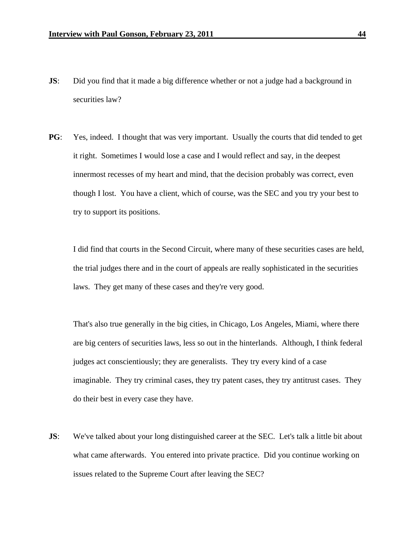- **JS:** Did you find that it made a big difference whether or not a judge had a background in securities law?
- **PG**: Yes, indeed. I thought that was very important. Usually the courts that did tended to get it right. Sometimes I would lose a case and I would reflect and say, in the deepest innermost recesses of my heart and mind, that the decision probably was correct, even though I lost. You have a client, which of course, was the SEC and you try your best to try to support its positions.

I did find that courts in the Second Circuit, where many of these securities cases are held, the trial judges there and in the court of appeals are really sophisticated in the securities laws. They get many of these cases and they're very good.

That's also true generally in the big cities, in Chicago, Los Angeles, Miami, where there are big centers of securities laws, less so out in the hinterlands. Although, I think federal judges act conscientiously; they are generalists. They try every kind of a case imaginable. They try criminal cases, they try patent cases, they try antitrust cases. They do their best in every case they have.

**JS:** We've talked about your long distinguished career at the SEC. Let's talk a little bit about what came afterwards. You entered into private practice. Did you continue working on issues related to the Supreme Court after leaving the SEC?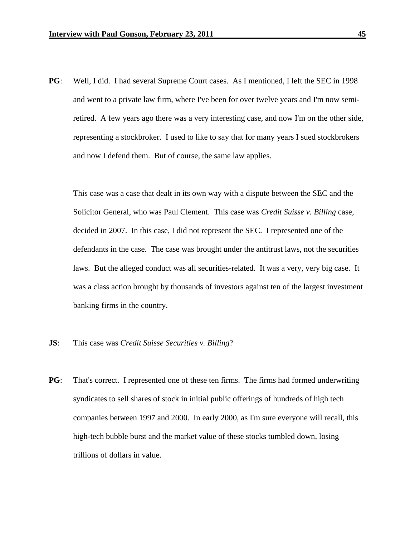**PG**: Well, I did. I had several Supreme Court cases. As I mentioned, I left the SEC in 1998 and went to a private law firm, where I've been for over twelve years and I'm now semiretired. A few years ago there was a very interesting case, and now I'm on the other side, representing a stockbroker. I used to like to say that for many years I sued stockbrokers and now I defend them. But of course, the same law applies.

This case was a case that dealt in its own way with a dispute between the SEC and the Solicitor General, who was Paul Clement. This case was *Credit Suisse v. Billing* case, decided in 2007. In this case, I did not represent the SEC. I represented one of the defendants in the case. The case was brought under the antitrust laws, not the securities laws. But the alleged conduct was all securities-related. It was a very, very big case. It was a class action brought by thousands of investors against ten of the largest investment banking firms in the country.

## **JS**: This case was *Credit Suisse Securities v. Billing*?

**PG**: That's correct. I represented one of these ten firms. The firms had formed underwriting syndicates to sell shares of stock in initial public offerings of hundreds of high tech companies between 1997 and 2000. In early 2000, as I'm sure everyone will recall, this high-tech bubble burst and the market value of these stocks tumbled down, losing trillions of dollars in value.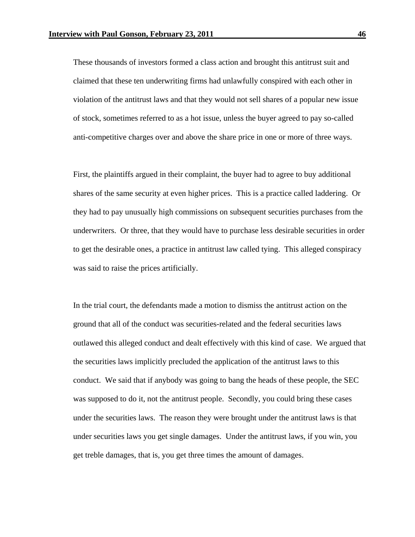These thousands of investors formed a class action and brought this antitrust suit and claimed that these ten underwriting firms had unlawfully conspired with each other in violation of the antitrust laws and that they would not sell shares of a popular new issue of stock, sometimes referred to as a hot issue, unless the buyer agreed to pay so-called anti-competitive charges over and above the share price in one or more of three ways.

 First, the plaintiffs argued in their complaint, the buyer had to agree to buy additional shares of the same security at even higher prices. This is a practice called laddering. Or they had to pay unusually high commissions on subsequent securities purchases from the underwriters. Or three, that they would have to purchase less desirable securities in order to get the desirable ones, a practice in antitrust law called tying. This alleged conspiracy was said to raise the prices artificially.

In the trial court, the defendants made a motion to dismiss the antitrust action on the ground that all of the conduct was securities-related and the federal securities laws outlawed this alleged conduct and dealt effectively with this kind of case. We argued that the securities laws implicitly precluded the application of the antitrust laws to this conduct. We said that if anybody was going to bang the heads of these people, the SEC was supposed to do it, not the antitrust people. Secondly, you could bring these cases under the securities laws. The reason they were brought under the antitrust laws is that under securities laws you get single damages. Under the antitrust laws, if you win, you get treble damages, that is, you get three times the amount of damages.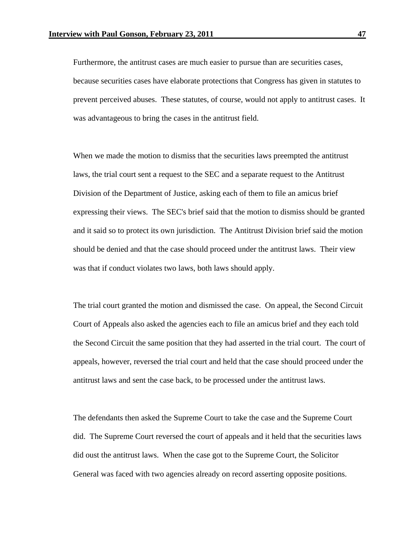Furthermore, the antitrust cases are much easier to pursue than are securities cases, because securities cases have elaborate protections that Congress has given in statutes to prevent perceived abuses. These statutes, of course, would not apply to antitrust cases. It was advantageous to bring the cases in the antitrust field.

When we made the motion to dismiss that the securities laws preempted the antitrust laws, the trial court sent a request to the SEC and a separate request to the Antitrust Division of the Department of Justice, asking each of them to file an amicus brief expressing their views. The SEC's brief said that the motion to dismiss should be granted and it said so to protect its own jurisdiction. The Antitrust Division brief said the motion should be denied and that the case should proceed under the antitrust laws. Their view was that if conduct violates two laws, both laws should apply.

The trial court granted the motion and dismissed the case. On appeal, the Second Circuit Court of Appeals also asked the agencies each to file an amicus brief and they each told the Second Circuit the same position that they had asserted in the trial court. The court of appeals, however, reversed the trial court and held that the case should proceed under the antitrust laws and sent the case back, to be processed under the antitrust laws.

The defendants then asked the Supreme Court to take the case and the Supreme Court did. The Supreme Court reversed the court of appeals and it held that the securities laws did oust the antitrust laws. When the case got to the Supreme Court, the Solicitor General was faced with two agencies already on record asserting opposite positions.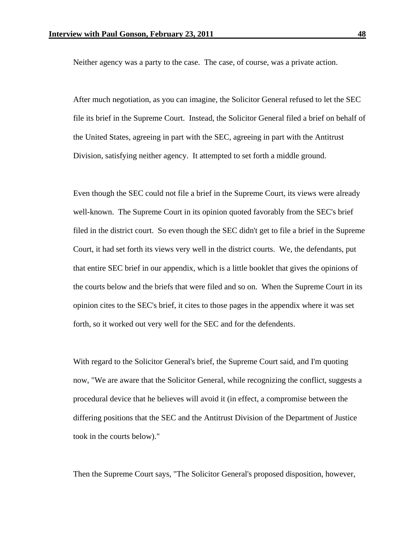Neither agency was a party to the case. The case, of course, was a private action.

After much negotiation, as you can imagine, the Solicitor General refused to let the SEC file its brief in the Supreme Court. Instead, the Solicitor General filed a brief on behalf of the United States, agreeing in part with the SEC, agreeing in part with the Antitrust Division, satisfying neither agency. It attempted to set forth a middle ground.

Even though the SEC could not file a brief in the Supreme Court, its views were already well-known. The Supreme Court in its opinion quoted favorably from the SEC's brief filed in the district court. So even though the SEC didn't get to file a brief in the Supreme Court, it had set forth its views very well in the district courts. We, the defendants, put that entire SEC brief in our appendix, which is a little booklet that gives the opinions of the courts below and the briefs that were filed and so on. When the Supreme Court in its opinion cites to the SEC's brief, it cites to those pages in the appendix where it was set forth, so it worked out very well for the SEC and for the defendents.

With regard to the Solicitor General's brief, the Supreme Court said, and I'm quoting now, "We are aware that the Solicitor General, while recognizing the conflict, suggests a procedural device that he believes will avoid it (in effect, a compromise between the differing positions that the SEC and the Antitrust Division of the Department of Justice took in the courts below)."

Then the Supreme Court says, "The Solicitor General's proposed disposition, however,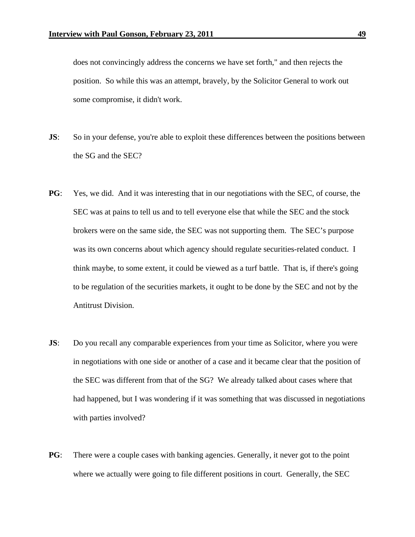does not convincingly address the concerns we have set forth," and then rejects the position. So while this was an attempt, bravely, by the Solicitor General to work out some compromise, it didn't work.

- **JS:** So in your defense, you're able to exploit these differences between the positions between the SG and the SEC?
- **PG**: Yes, we did. And it was interesting that in our negotiations with the SEC, of course, the SEC was at pains to tell us and to tell everyone else that while the SEC and the stock brokers were on the same side, the SEC was not supporting them. The SEC's purpose was its own concerns about which agency should regulate securities-related conduct. I think maybe, to some extent, it could be viewed as a turf battle. That is, if there's going to be regulation of the securities markets, it ought to be done by the SEC and not by the Antitrust Division.
- **JS:** Do you recall any comparable experiences from your time as Solicitor, where you were in negotiations with one side or another of a case and it became clear that the position of the SEC was different from that of the SG? We already talked about cases where that had happened, but I was wondering if it was something that was discussed in negotiations with parties involved?
- **PG**: There were a couple cases with banking agencies. Generally, it never got to the point where we actually were going to file different positions in court. Generally, the SEC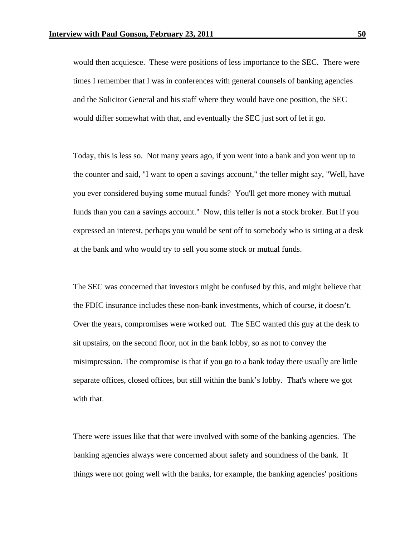would then acquiesce. These were positions of less importance to the SEC. There were times I remember that I was in conferences with general counsels of banking agencies and the Solicitor General and his staff where they would have one position, the SEC would differ somewhat with that, and eventually the SEC just sort of let it go.

 Today, this is less so. Not many years ago, if you went into a bank and you went up to the counter and said, "I want to open a savings account," the teller might say, "Well, have you ever considered buying some mutual funds? You'll get more money with mutual funds than you can a savings account." Now, this teller is not a stock broker. But if you expressed an interest, perhaps you would be sent off to somebody who is sitting at a desk at the bank and who would try to sell you some stock or mutual funds.

 The SEC was concerned that investors might be confused by this, and might believe that the FDIC insurance includes these non-bank investments, which of course, it doesn't. Over the years, compromises were worked out. The SEC wanted this guy at the desk to sit upstairs, on the second floor, not in the bank lobby, so as not to convey the misimpression. The compromise is that if you go to a bank today there usually are little separate offices, closed offices, but still within the bank's lobby. That's where we got with that.

 There were issues like that that were involved with some of the banking agencies. The banking agencies always were concerned about safety and soundness of the bank. If things were not going well with the banks, for example, the banking agencies' positions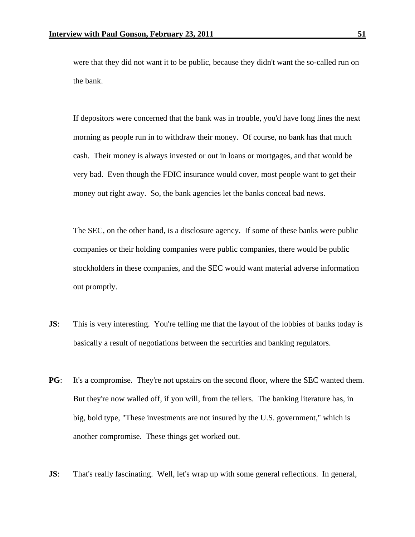were that they did not want it to be public, because they didn't want the so-called run on the bank.

If depositors were concerned that the bank was in trouble, you'd have long lines the next morning as people run in to withdraw their money. Of course, no bank has that much cash. Their money is always invested or out in loans or mortgages, and that would be very bad. Even though the FDIC insurance would cover, most people want to get their money out right away. So, the bank agencies let the banks conceal bad news.

The SEC, on the other hand, is a disclosure agency. If some of these banks were public companies or their holding companies were public companies, there would be public stockholders in these companies, and the SEC would want material adverse information out promptly.

- **JS:** This is very interesting. You're telling me that the layout of the lobbies of banks today is basically a result of negotiations between the securities and banking regulators.
- **PG**: It's a compromise. They're not upstairs on the second floor, where the SEC wanted them. But they're now walled off, if you will, from the tellers. The banking literature has, in big, bold type, "These investments are not insured by the U.S. government," which is another compromise. These things get worked out.
- **JS**: That's really fascinating. Well, let's wrap up with some general reflections. In general,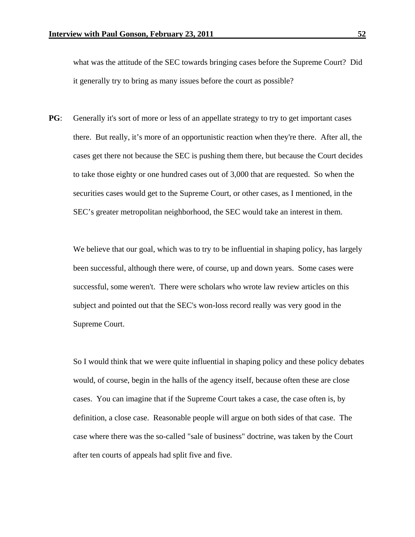what was the attitude of the SEC towards bringing cases before the Supreme Court? Did it generally try to bring as many issues before the court as possible?

**PG**: Generally it's sort of more or less of an appellate strategy to try to get important cases there. But really, it's more of an opportunistic reaction when they're there. After all, the cases get there not because the SEC is pushing them there, but because the Court decides to take those eighty or one hundred cases out of 3,000 that are requested. So when the securities cases would get to the Supreme Court, or other cases, as I mentioned, in the SEC's greater metropolitan neighborhood, the SEC would take an interest in them.

We believe that our goal, which was to try to be influential in shaping policy, has largely been successful, although there were, of course, up and down years. Some cases were successful, some weren't. There were scholars who wrote law review articles on this subject and pointed out that the SEC's won-loss record really was very good in the Supreme Court.

 So I would think that we were quite influential in shaping policy and these policy debates would, of course, begin in the halls of the agency itself, because often these are close cases. You can imagine that if the Supreme Court takes a case, the case often is, by definition, a close case. Reasonable people will argue on both sides of that case. The case where there was the so-called "sale of business" doctrine, was taken by the Court after ten courts of appeals had split five and five.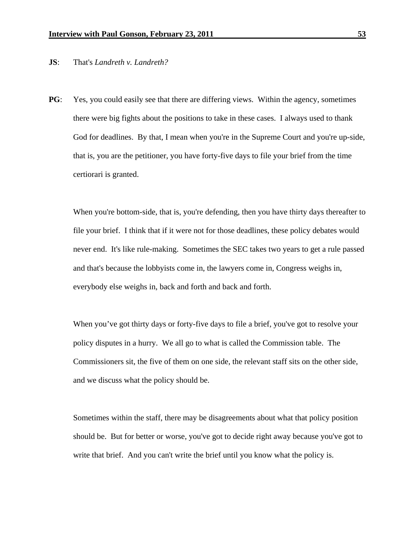## **JS**: That's *Landreth v. Landreth?*

**PG**: Yes, you could easily see that there are differing views. Within the agency, sometimes there were big fights about the positions to take in these cases. I always used to thank God for deadlines. By that, I mean when you're in the Supreme Court and you're up-side, that is, you are the petitioner, you have forty-five days to file your brief from the time certiorari is granted.

 When you're bottom-side, that is, you're defending, then you have thirty days thereafter to file your brief. I think that if it were not for those deadlines, these policy debates would never end. It's like rule-making. Sometimes the SEC takes two years to get a rule passed and that's because the lobbyists come in, the lawyers come in, Congress weighs in, everybody else weighs in, back and forth and back and forth.

 When you've got thirty days or forty-five days to file a brief, you've got to resolve your policy disputes in a hurry. We all go to what is called the Commission table. The Commissioners sit, the five of them on one side, the relevant staff sits on the other side, and we discuss what the policy should be.

Sometimes within the staff, there may be disagreements about what that policy position should be. But for better or worse, you've got to decide right away because you've got to write that brief. And you can't write the brief until you know what the policy is.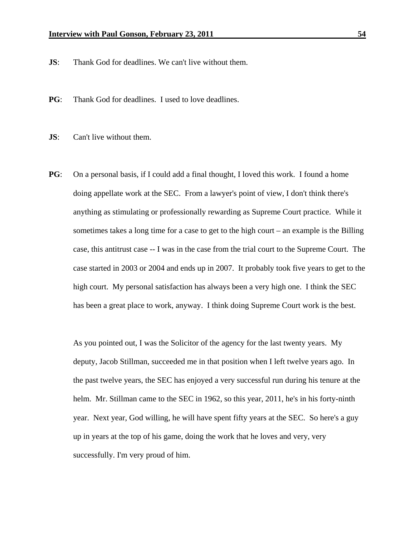- **JS**: Thank God for deadlines. We can't live without them.
- **PG**: Thank God for deadlines. I used to love deadlines.
- **JS:** Can't live without them.
- **PG**: On a personal basis, if I could add a final thought, I loved this work. I found a home doing appellate work at the SEC. From a lawyer's point of view, I don't think there's anything as stimulating or professionally rewarding as Supreme Court practice. While it sometimes takes a long time for a case to get to the high court – an example is the Billing case, this antitrust case -- I was in the case from the trial court to the Supreme Court. The case started in 2003 or 2004 and ends up in 2007. It probably took five years to get to the high court. My personal satisfaction has always been a very high one. I think the SEC has been a great place to work, anyway. I think doing Supreme Court work is the best.

As you pointed out, I was the Solicitor of the agency for the last twenty years. My deputy, Jacob Stillman, succeeded me in that position when I left twelve years ago. In the past twelve years, the SEC has enjoyed a very successful run during his tenure at the helm. Mr. Stillman came to the SEC in 1962, so this year, 2011, he's in his forty-ninth year. Next year, God willing, he will have spent fifty years at the SEC. So here's a guy up in years at the top of his game, doing the work that he loves and very, very successfully. I'm very proud of him.